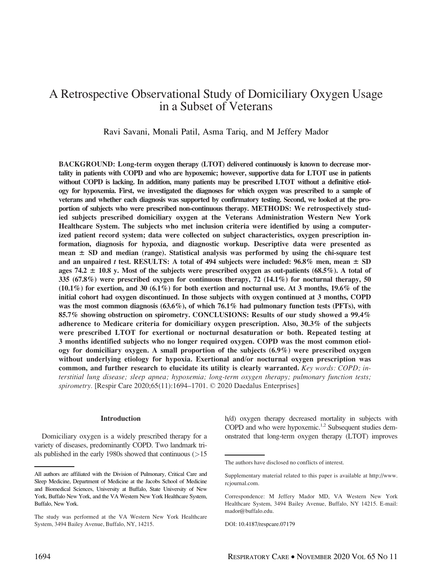# A Retrospective Observational Study of Domiciliary Oxygen Usage in a Subset of Veterans

Ravi Savani, Monali Patil, Asma Tariq, and M Jeffery Mador

BACKGROUND: Long-term oxygen therapy (LTOT) delivered continuously is known to decrease mortality in patients with COPD and who are hypoxemic; however, supportive data for LTOT use in patients without COPD is lacking. In addition, many patients may be prescribed LTOT without a definitive etiology for hypoxemia. First, we investigated the diagnoses for which oxygen was prescribed to a sample of veterans and whether each diagnosis was supported by confirmatory testing. Second, we looked at the proportion of subjects who were prescribed non-continuous therapy. METHODS: We retrospectively studied subjects prescribed domiciliary oxygen at the Veterans Administration Western New York Healthcare System. The subjects who met inclusion criteria were identified by using a computerized patient record system; data were collected on subject characteristics, oxygen prescription information, diagnosis for hypoxia, and diagnostic workup. Descriptive data were presented as mean  $\pm$  SD and median (range). Statistical analysis was performed by using the chi-square test and an unpaired t test. RESULTS: A total of 494 subjects were included:  $96.8\%$  men, mean  $\pm$  SD ages 74.2  $\pm$  10.8 y. Most of the subjects were prescribed oxygen as out-patients (68.5%). A total of 335 (67.8%) were prescribed oxygen for continuous therapy, 72 (14.1%) for nocturnal therapy, 50  $(10.1\%)$  for exertion, and 30  $(6.1\%)$  for both exertion and nocturnal use. At 3 months, 19.6% of the initial cohort had oxygen discontinued. In those subjects with oxygen continued at 3 months, COPD was the most common diagnosis  $(63.6\%)$ , of which 76.1% had pulmonary function tests (PFTs), with 85.7% showing obstruction on spirometry. CONCLUSIONS: Results of our study showed a 99.4% adherence to Medicare criteria for domiciliary oxygen prescription. Also, 30.3% of the subjects were prescribed LTOT for exertional or nocturnal desaturation or both. Repeated testing at 3 months identified subjects who no longer required oxygen. COPD was the most common etiology for domiciliary oxygen. A small proportion of the subjects (6.9%) were prescribed oxygen without underlying etiology for hypoxia. Exertional and/or nocturnal oxygen prescription was common, and further research to elucidate its utility is clearly warranted. Key words: COPD; interstitial lung disease; sleep apnea; hypoxemia; long-term oxygen therapy; pulmonary function tests; spirometry. [Respir Care 2020;65(11):1694–1701. © 2020 Daedalus Enterprises]

## Introduction

Domiciliary oxygen is a widely prescribed therapy for a variety of diseases, predominantly COPD. Two landmark trials published in the early 1980s showed that continuous  $($ >15

h/d) oxygen therapy decreased mortality in subjects with COPD and who were hypoxemic.<sup>1,2</sup> Subsequent studies demonstrated that long-term oxygen therapy (LTOT) improves

All authors are affiliated with the Division of Pulmonary, Critical Care and Sleep Medicine, Department of Medicine at the Jacobs School of Medicine and Biomedical Sciences, University at Buffalo, State University of New York, Buffalo New York, and the VA Western New York Healthcare System, Buffalo, New York.

The study was performed at the VA Western New York Healthcare System, 3494 Bailey Avenue, Buffalo, NY, 14215.

The authors have disclosed no conflicts of interest.

Supplementary material related to this paper is available at [http://www.](http://www.rcjournal.com) [rcjournal.com](http://www.rcjournal.com).

Correspondence: M Jeffery Mador MD, VA Western New York Healthcare System, 3494 Bailey Avenue, Buffalo, NY 14215. E-mail: [mador@buffalo.edu](mailto:mador@buffalo.edu).

DOI: 10.4187/respcare.07179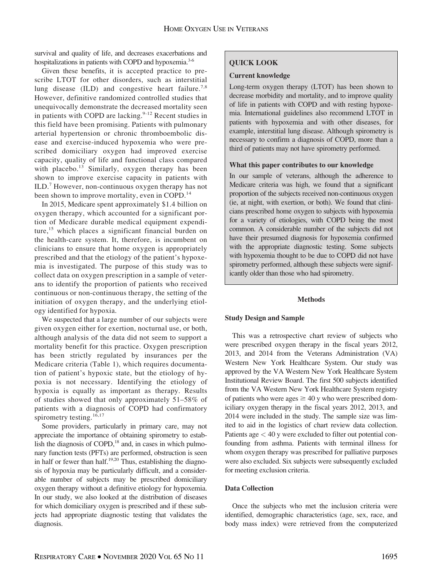survival and quality of life, and decreases exacerbations and hospitalizations in patients with COPD and hypoxemia.<sup>3-6</sup>

Given these benefits, it is accepted practice to prescribe LTOT for other disorders, such as interstitial lung disease (ILD) and congestive heart failure.<sup>7,8</sup> However, definitive randomized controlled studies that unequivocally demonstrate the decreased mortality seen in patients with COPD are lacking. $9-12$  Recent studies in this field have been promising. Patients with pulmonary arterial hypertension or chronic thromboembolic disease and exercise-induced hypoxemia who were prescribed domiciliary oxygen had improved exercise capacity, quality of life and functional class compared with placebo.<sup>13</sup> Similarly, oxygen therapy has been shown to improve exercise capacity in patients with  $ILD.^7$  However, non-continuous oxygen therapy has not been shown to improve mortality, even in COPD.<sup>14</sup>

In 2015, Medicare spent approximately \$1.4 billion on oxygen therapy, which accounted for a significant portion of Medicare durable medical equipment expenditure,<sup>15</sup> which places a significant financial burden on the health-care system. It, therefore, is incumbent on clinicians to ensure that home oxygen is appropriately prescribed and that the etiology of the patient's hypoxemia is investigated. The purpose of this study was to collect data on oxygen prescription in a sample of veterans to identify the proportion of patients who received continuous or non-continuous therapy, the setting of the initiation of oxygen therapy, and the underlying etiology identified for hypoxia.

We suspected that a large number of our subjects were given oxygen either for exertion, nocturnal use, or both, although analysis of the data did not seem to support a mortality benefit for this practice. Oxygen prescription has been strictly regulated by insurances per the Medicare criteria (Table 1), which requires documentation of patient's hypoxic state, but the etiology of hypoxia is not necessary. Identifying the etiology of hypoxia is equally as important as therapy. Results of studies showed that only approximately 51–58% of patients with a diagnosis of COPD had confirmatory spirometry testing.<sup>16,17</sup>

Some providers, particularly in primary care, may not appreciate the importance of obtaining spirometry to establish the diagnosis of COPD, $^{18}$  and, in cases in which pulmonary function tests (PFTs) are performed, obstruction is seen in half or fewer than half.<sup>19,20</sup> Thus, establishing the diagnosis of hypoxia may be particularly difficult, and a considerable number of subjects may be prescribed domiciliary oxygen therapy without a definitive etiology for hypoxemia. In our study, we also looked at the distribution of diseases for which domiciliary oxygen is prescribed and if these subjects had appropriate diagnostic testing that validates the diagnosis.

# QUICK LOOK

## Current knowledge

Long-term oxygen therapy (LTOT) has been shown to decrease morbidity and mortality, and to improve quality of life in patients with COPD and with resting hypoxemia. International guidelines also recommend LTOT in patients with hypoxemia and with other diseases, for example, interstitial lung disease. Although spirometry is necessary to confirm a diagnosis of COPD, more than a third of patients may not have spirometry performed.

## What this paper contributes to our knowledge

In our sample of veterans, although the adherence to Medicare criteria was high, we found that a significant proportion of the subjects received non-continuous oxygen (ie, at night, with exertion, or both). We found that clinicians prescribed home oxygen to subjects with hypoxemia for a variety of etiologies, with COPD being the most common. A considerable number of the subjects did not have their presumed diagnosis for hypoxemia confirmed with the appropriate diagnostic testing. Some subjects with hypoxemia thought to be due to COPD did not have spirometry performed, although these subjects were significantly older than those who had spirometry.

## Methods

## Study Design and Sample

This was a retrospective chart review of subjects who were prescribed oxygen therapy in the fiscal years 2012, 2013, and 2014 from the Veterans Administration (VA) Western New York Healthcare System. Our study was approved by the VA Western New York Healthcare System Institutional Review Board. The first 500 subjects identified from the VA Western New York Healthcare System registry of patients who were ages  $\geq 40$  y who were prescribed domiciliary oxygen therapy in the fiscal years 2012, 2013, and 2014 were included in the study. The sample size was limited to aid in the logistics of chart review data collection. Patients age < 40 y were excluded to filter out potential confounding from asthma. Patients with terminal illness for whom oxygen therapy was prescribed for palliative purposes were also excluded. Six subjects were subsequently excluded for meeting exclusion criteria.

## Data Collection

Once the subjects who met the inclusion criteria were identified, demographic characteristics (age, sex, race, and body mass index) were retrieved from the computerized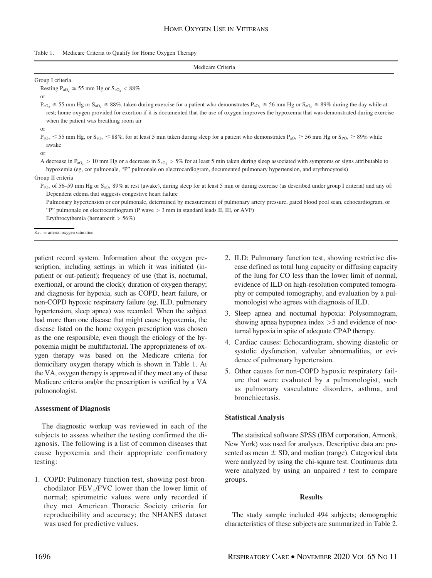| Table 1. | Medicare Criteria to Qualify for Home Oxygen Therapy |  |  |  |  |  |  |  |
|----------|------------------------------------------------------|--|--|--|--|--|--|--|
|----------|------------------------------------------------------|--|--|--|--|--|--|--|

Medicare Criteria

Group I criteria

Resting  $P_{aO_2} \le 55$  mm Hg or  $S_{aO_2} < 88\%$ 

or

 $P_{aO_2} \le 55$  mm Hg or  $S_{aO_2} \le 88\%$ , taken during exercise for a patient who demonstrates  $P_{aO_2} \ge 56$  mm Hg or  $S_{aO_2} \ge 89\%$  during the day while at rest; home oxygen provided for exertion if it is documented that the use of oxygen improves the hypoxemia that was demonstrated during exercise when the patient was breathing room air

or

 $P_{aO_2}$   $\le$  55 mm Hg, or  $S_{aO_2}$   $\le$  88%, for at least 5 min taken during sleep for a patient who demonstrates  $P_{aO_2}$   $\ge$  56 mm Hg or  $S_{PO_2}$   $\ge$  89% while awake

or

A decrease in P<sub>aO</sub>,  $> 10$  mm Hg or a decrease in S<sub>aO</sub>,  $> 5\%$  for at least 5 min taken during sleep associated with symptoms or signs attributable to hypoxemia (eg, cor pulmonale, "P" pulmonale on electrocardiogram, documented pulmonary hypertension, and erythrocytosis)

Group II criteria

 $P_{aO}$ , of 56–59 mm Hg or S<sub>aO</sub>, 89% at rest (awake), during sleep for at least 5 min or during exercise (as described under group I criteria) and any of: Dependent edema that suggests congestive heart failure

Pulmonary hypertension or cor pulmonale, determined by measurement of pulmonary artery pressure, gated blood pool scan, echocardiogram, or "P" pulmonale on electrocardiogram (P wave  $> 3$  mm in standard leads II, III, or AVF)

Erythrocythemia (hematocrit > 56%)

 $S_{aO_2}$  = arterial oxygen saturation

patient record system. Information about the oxygen prescription, including settings in which it was initiated (inpatient or out-patient); frequency of use (that is, nocturnal, exertional, or around the clock); duration of oxygen therapy; and diagnosis for hypoxia, such as COPD, heart failure, or non-COPD hypoxic respiratory failure (eg, ILD, pulmonary hypertension, sleep apnea) was recorded. When the subject had more than one disease that might cause hypoxemia, the disease listed on the home oxygen prescription was chosen as the one responsible, even though the etiology of the hypoxemia might be multifactorial. The appropriateness of oxygen therapy was based on the Medicare criteria for domiciliary oxygen therapy which is shown in Table 1. At the VA, oxygen therapy is approved if they meet any of these Medicare criteria and/or the prescription is verified by a VA pulmonologist.

## Assessment of Diagnosis

The diagnostic workup was reviewed in each of the subjects to assess whether the testing confirmed the diagnosis. The following is a list of common diseases that cause hypoxemia and their appropriate confirmatory testing:

1. COPD: Pulmonary function test, showing post-bronchodilator  $FEV_1/FVC$  lower than the lower limit of normal; spirometric values were only recorded if they met American Thoracic Society criteria for reproducibility and accuracy; the NHANES dataset was used for predictive values.

- 2. ILD: Pulmonary function test, showing restrictive disease defined as total lung capacity or diffusing capacity of the lung for CO less than the lower limit of normal, evidence of ILD on high-resolution computed tomography or computed tomography, and evaluation by a pulmonologist who agrees with diagnosis of ILD.
- 3. Sleep apnea and nocturnal hypoxia: Polysomnogram, showing apnea hypopnea index  $>5$  and evidence of nocturnal hypoxia in spite of adequate CPAP therapy.
- 4. Cardiac causes: Echocardiogram, showing diastolic or systolic dysfunction, valvular abnormalities, or evidence of pulmonary hypertension.
- 5. Other causes for non-COPD hypoxic respiratory failure that were evaluated by a pulmonologist, such as pulmonary vasculature disorders, asthma, and bronchiectasis.

## Statistical Analysis

The statistical software SPSS (IBM corporation, Armonk, New York) was used for analyses. Descriptive data are presented as mean  $\pm$  SD, and median (range). Categorical data were analyzed by using the chi-square test. Continuous data were analyzed by using an unpaired  $t$  test to compare groups.

## Results

The study sample included 494 subjects; demographic characteristics of these subjects are summarized in Table 2.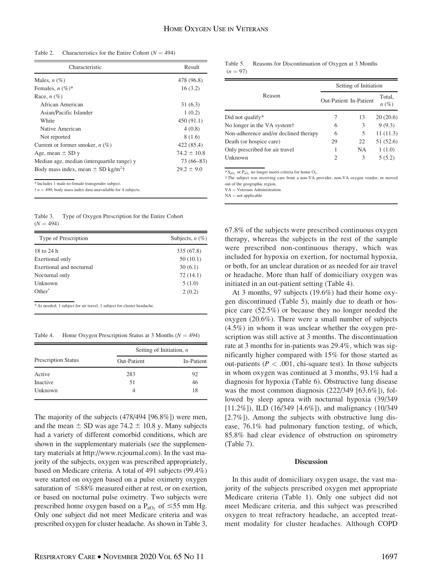| Table 2. | Characteristics for the Entire Cohort ( $N = 494$ ) |  |  |  |
|----------|-----------------------------------------------------|--|--|--|
|          |                                                     |  |  |  |

| Characteristic                                                | Result          |
|---------------------------------------------------------------|-----------------|
| Males, $n(\%)$                                                | 478 (96.8)      |
| Females, $n \ (\%)^*$                                         | 16(3.2)         |
| Race, $n(\%)$                                                 |                 |
| African American                                              | 31(6.3)         |
| Asian/Pacific Islander                                        | 1(0.2)          |
| White                                                         | 450(91.1)       |
| Native American                                               | 4(0.8)          |
| Not reported                                                  | 8(1.6)          |
| Current or former smoker, $n$ (%)                             | 422 (85.4)      |
| Age, mean $\pm$ SD y                                          | $74.2 \pm 10.8$ |
| Median age, median (interquartile range) y                    | $73(66-83)$     |
| Body mass index, mean $\pm$ SD kg/m <sup>2</sup> <sup>†</sup> | $29.2 \pm 9.0$  |

\* Includes 1 male-to-female transgender subject.

 $\dagger$  n = 490; body mass index data unavailable for 4 subjects.

Table 3. Type of Oxygen Prescription for the Entire Cohort  $(N = 494)$ 

| Type of Prescription     | Subjects, $n(\%)$ |
|--------------------------|-------------------|
| 18 to 24 h               | 335 (67.8)        |
| Exertional only          | 50(10.1)          |
| Exertional and nocturnal | 30(6.1)           |
| Nocturnal only           | 72(14.1)          |
| Unknown                  | 5(1.0)            |
| $Other^*$                | 2(0.2)            |

\* As needed; 1 subject for air travel, 1 subject for cluster headache.

Table 4. Home Oxygen Prescription Status at 3 Months  $(N = 494)$ 

|                            | Setting of Initiation, $n$ |            |
|----------------------------|----------------------------|------------|
| <b>Prescription Status</b> | Out-Patient                | In-Patient |
| Active                     | 283                        | 92         |
| <b>Inactive</b>            | 51                         | 46         |
| Unknown                    | 4                          | 18         |

The majority of the subjects (478/494 [96.8%]) were men, and the mean  $\pm$  SD was age 74.2  $\pm$  10.8 y. Many subjects had a variety of different comorbid conditions, which are shown in the supplementary materials (see the supplementary materials at<http://www.rcjournal.com>). In the vast majority of the subjects, oxygen was prescribed appropriately, based on Medicare criteria. A total of 491 subjects (99.4%) were started on oxygen based on a pulse oximetry oxygen saturation of  $\leq 88\%$  measured either at rest, or on exertion, or based on nocturnal pulse oximetry. Two subjects were prescribed home oxygen based on a  $P_{aO_2}$  of  $\leq$ 55 mm Hg. Only one subject did not meet Medicare criteria and was prescribed oxygen for cluster headache. As shown in Table 3,

| Table 5.   | Reasons for Discontinuation of Oxygen at 3 Months |
|------------|---------------------------------------------------|
| $(n = 97)$ |                                                   |

|                                         | Setting of Initiation  |           |                   |  |
|-----------------------------------------|------------------------|-----------|-------------------|--|
| Reason                                  | Out-Patient In-Patient |           | Total,<br>$n(\%)$ |  |
| Did not qualify*                        | 7                      | 13        | 20(20.6)          |  |
| No longer in the VA system <sup>†</sup> | 6                      | 3         | 9(9.3)            |  |
| Non-adherence and/or declined therapy   | 6                      | 5         | 11(11.3)          |  |
| Death (or hospice care)                 | 29                     | 22        | 51 (52.6)         |  |
| Only prescribed for air travel          | 1                      | <b>NA</b> | 1(1.0)            |  |
| Unknown                                 | 2                      | 3         | 5(5.2)            |  |

 $* S_{pQ}$ , or P<sub>aO</sub>, no longer meets criteria for home O<sub>2</sub>.

† The subject was receiving care from a non-VA provider, non-VA oxygen vendor, or moved out of the geographic region.

VA = Veterans Administration

 $NA = not applicable$ 

67.8% of the subjects were prescribed continuous oxygen therapy, whereas the subjects in the rest of the sample were prescribed non-continuous therapy, which was included for hypoxia on exertion, for nocturnal hypoxia, or both, for an unclear duration or as needed for air travel or headache. More than half of domiciliary oxygen was initiated in an out-patient setting (Table 4).

At 3 months, 97 subjects (19.6%) had their home oxygen discontinued (Table 5), mainly due to death or hospice care (52.5%) or because they no longer needed the oxygen (20.6%). There were a small number of subjects (4.5%) in whom it was unclear whether the oxygen prescription was still active at 3 months. The discontinuation rate at 3 months for in-patients was 29.4%, which was significantly higher compared with 15% for those started as out-patients ( $P < .001$ , chi-square test). In those subjects in whom oxygen was continued at 3 months, 93.1% had a diagnosis for hypoxia (Table 6). Obstructive lung disease was the most common diagnosis (222/349 [63.6%]), followed by sleep apnea with nocturnal hypoxia (39/349 [11.2%]), ILD (16/349 [4.6%]), and malignancy (10/349) [2.7%]). Among the subjects with obstructive lung disease, 76.1% had pulmonary function testing, of which, 85.8% had clear evidence of obstruction on spirometry (Table 7).

#### **Discussion**

In this audit of domiciliary oxygen usage, the vast majority of the subjects prescribed oxygen met appropriate Medicare criteria (Table 1). Only one subject did not meet Medicare criteria, and this subject was prescribed oxygen to treat refractory headache, an accepted treatment modality for cluster headaches. Although COPD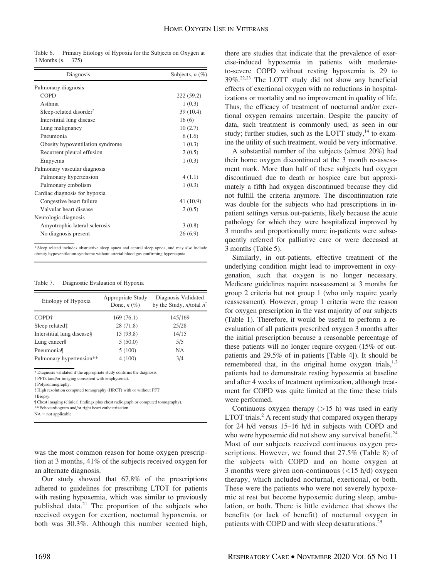Table 6. Primary Etiology of Hypoxia for the Subjects on Oxygen at 3 Months ( $n = 375$ )

| Diagnosis                        | Subjects, $n(\%)$ |
|----------------------------------|-------------------|
| Pulmonary diagnosis              |                   |
| <b>COPD</b>                      | 222 (59.2)        |
| Asthma                           | 1(0.3)            |
| Sleep-related disorder"          | 39 (10.4)         |
| Interstitial lung disease        | 16(6)             |
| Lung malignancy                  | 10(2.7)           |
| Pneumonia                        | 6(1.6)            |
| Obesity hypoventilation syndrome | 1(0.3)            |
| Recurrent pleural effusion       | 2(0.5)            |
| Empyema                          | 1(0.3)            |
| Pulmonary vascular diagnosis     |                   |
| Pulmonary hypertension           | 4(1.1)            |
| Pulmonary embolism               | 1(0.3)            |
| Cardiac diagnosis for hypoxia    |                   |
| Congestive heart failure         | 41 (10.9)         |
| Valvular heart disease           | 2(0.5)            |
| Neurologic diagnosis             |                   |
| Amyotrophic lateral sclerosis    | 3(0.8)            |
| No diagnosis present             | 26(6.9)           |
|                                  |                   |

\* Sleep related includes obstructive sleep apnea and central sleep apnea, and may also include obesity hypoventilation syndrome without arterial blood gas confirming hypercapnia.

| Table 7. | Diagnostic Evaluation of Hypoxia |  |  |
|----------|----------------------------------|--|--|
|----------|----------------------------------|--|--|

| Etiology of Hypoxia         | Appropriate Study<br>Done, $n(\%)$ | Diagnosis Validated<br>by the Study, <i>n</i> /total $n^*$ |
|-----------------------------|------------------------------------|------------------------------------------------------------|
| COPD <sup>+</sup>           | 169(76.1)                          | 145/169                                                    |
| Sleep related:              | 28(71.8)                           | 25/28                                                      |
| Interstitial lung disease § | 15(93.8)                           | 14/15                                                      |
| Lung cancerll               | 5(50.0)                            | 5/5                                                        |
| Pneumonia                   | 5(100)                             | NA.                                                        |
| Pulmonary hypertension**    | 4(100)                             | 3/4                                                        |

\* Diagnosis validated if the appropriate study confirms the diagnosis.

† PFTs (and/or imaging consistent with emphysema).

‡ Polysomnography.

§ High resolution computed tomography (HRCT) with or without PFT.

|| Biopsy.

¶ Chest imaging (clinical findings plus chest radiograph or computed tomography).

\*\* Echocardiogram and/or right heart catheterization.

 $NA = not applicable$ 

was the most common reason for home oxygen prescription at 3 months, 41% of the subjects received oxygen for an alternate diagnosis.

Our study showed that 67.8% of the prescriptions adhered to guidelines for prescribing LTOT for patients with resting hypoxemia, which was similar to previously published data. $^{21}$  The proportion of the subjects who received oxygen for exertion, nocturnal hypoxemia, or both was 30.3%. Although this number seemed high,

there are studies that indicate that the prevalence of exercise-induced hypoxemia in patients with moderateto-severe COPD without resting hypoxemia is 29 to  $39\%$ <sup>22,23</sup> The LOTT study did not show any beneficial effects of exertional oxygen with no reductions in hospitalizations or mortality and no improvement in quality of life. Thus, the efficacy of treatment of nocturnal and/or exertional oxygen remains uncertain. Despite the paucity of data, such treatment is commonly used, as seen in our study; further studies, such as the LOTT study, $14$  to examine the utility of such treatment, would be very informative.

A substantial number of the subjects (almost 20%) had their home oxygen discontinued at the 3 month re-assessment mark. More than half of these subjects had oxygen discontinued due to death or hospice care but approximately a fifth had oxygen discontinued because they did not fulfill the criteria anymore. The discontinuation rate was double for the subjects who had prescriptions in inpatient settings versus out-patients, likely because the acute pathology for which they were hospitalized improved by 3 months and proportionally more in-patients were subsequently referred for palliative care or were deceased at 3 months (Table 5).

Similarly, in out-patients, effective treatment of the underlying condition might lead to improvement in oxygenation, such that oxygen is no longer necessary. Medicare guidelines require reassessment at 3 months for group 2 criteria but not group 1 (who only require yearly reassessment). However, group 1 criteria were the reason for oxygen prescription in the vast majority of our subjects (Table 1). Therefore, it would be useful to perform a reevaluation of all patients prescribed oxygen 3 months after the initial prescription because a reasonable percentage of these patients will no longer require oxygen (15% of outpatients and 29.5% of in-patients [Table 4]). It should be remembered that, in the original home oxygen trials,  $1,2$ patients had to demonstrate resting hypoxemia at baseline and after 4 weeks of treatment optimization, although treatment for COPD was quite limited at the time these trials were performed.

Continuous oxygen therapy  $(>15 \text{ h})$  was used in early LTOT trials.<sup>2</sup> A recent study that compared oxygen therapy for 24 h/d versus 15–16 h/d in subjects with COPD and who were hypoxemic did not show any survival benefit.<sup>24</sup> Most of our subjects received continuous oxygen prescriptions. However, we found that 27.5% (Table 8) of the subjects with COPD and on home oxygen at 3 months were given non-continuous  $\left(\frac{15 \text{ h/d}}{9 \text{ oxygen}}\right)$ therapy, which included nocturnal, exertional, or both. These were the patients who were not severely hypoxemic at rest but become hypoxemic during sleep, ambulation, or both. There is little evidence that shows the benefits (or lack of benefit) of nocturnal oxygen in patients with COPD and with sleep desaturations.<sup>25</sup>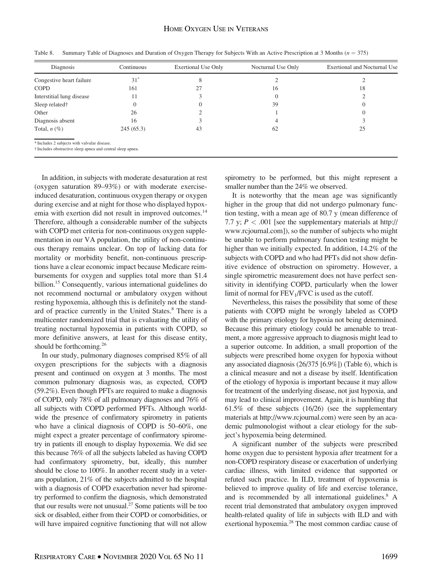| Diagnosis                                                                                                   | Continuous | <b>Exertional Use Only</b> | Nocturnal Use Only | Exertional and Nocturnal Use |
|-------------------------------------------------------------------------------------------------------------|------------|----------------------------|--------------------|------------------------------|
| Congestive heart failure                                                                                    | 31         |                            |                    |                              |
| <b>COPD</b>                                                                                                 | 161        | 27                         | 16                 | 18                           |
| Interstitial lung disease                                                                                   | 11         |                            |                    |                              |
| Sleep related†                                                                                              |            |                            | 39                 |                              |
| Other                                                                                                       | 26         |                            |                    |                              |
| Diagnosis absent                                                                                            | 16         |                            |                    |                              |
| Total, $n(\%)$                                                                                              | 245(65.3)  | 43                         | 62                 | 25                           |
| * Includes 2 subjects with valvular disease.<br>† Includes obstructive sleep apnea and central sleep apnea. |            |                            |                    |                              |

Table 8. Summary Table of Diagnoses and Duration of Oxygen Therapy for Subjects With an Active Prescription at 3 Months ( $n = 375$ )

In addition, in subjects with moderate desaturation at rest (oxygen saturation 89–93%) or with moderate exerciseinduced desaturation, continuous oxygen therapy or oxygen during exercise and at night for those who displayed hypoxemia with exertion did not result in improved outcomes.<sup>14</sup> Therefore, although a considerable number of the subjects with COPD met criteria for non-continuous oxygen supplementation in our VA population, the utility of non-continuous therapy remains unclear. On top of lacking data for mortality or morbidity benefit, non-continuous prescriptions have a clear economic impact because Medicare reimbursements for oxygen and supplies total more than \$1.4 billion.<sup>15</sup> Consequently, various international guidelines do not recommend nocturnal or ambulatory oxygen without resting hypoxemia, although this is definitely not the standard of practice currently in the United States.<sup>8</sup> There is a multicenter randomized trial that is evaluating the utility of treating nocturnal hypoxemia in patients with COPD, so more definitive answers, at least for this disease entity, should be forthcoming.<sup>26</sup>

In our study, pulmonary diagnoses comprised 85% of all oxygen prescriptions for the subjects with a diagnosis present and continued on oxygen at 3 months. The most common pulmonary diagnosis was, as expected, COPD (59.2%). Even though PFTs are required to make a diagnosis of COPD, only 78% of all pulmonary diagnoses and 76% of all subjects with COPD performed PFTs. Although worldwide the presence of confirmatory spirometry in patients who have a clinical diagnosis of COPD is 50–60%, one might expect a greater percentage of confirmatory spirometry in patients ill enough to display hypoxemia. We did see this because 76% of all the subjects labeled as having COPD had confirmatory spirometry, but, ideally, this number should be close to 100%. In another recent study in a veterans population, 21% of the subjects admitted to the hospital with a diagnosis of COPD exacerbation never had spirometry performed to confirm the diagnosis, which demonstrated that our results were not unusual. $27$  Some patients will be too sick or disabled, either from their COPD or comorbidities, or will have impaired cognitive functioning that will not allow

spirometry to be performed, but this might represent a smaller number than the 24% we observed.

It is noteworthy that the mean age was significantly higher in the group that did not undergo pulmonary function testing, with a mean age of 80.7 y (mean difference of 7.7 y;  $P < .001$  [see the supplementary materials at [http://](http://www.rcjournal.com) [www.rcjournal.com](http://www.rcjournal.com)]), so the number of subjects who might be unable to perform pulmonary function testing might be higher than we initially expected. In addition, 14.2% of the subjects with COPD and who had PFTs did not show definitive evidence of obstruction on spirometry. However, a single spirometric measurement does not have perfect sensitivity in identifying COPD, particularly when the lower limit of normal for  $FEV_1/FVC$  is used as the cutoff.

Nevertheless, this raises the possibility that some of these patients with COPD might be wrongly labeled as COPD with the primary etiology for hypoxia not being determined. Because this primary etiology could be amenable to treatment, a more aggressive approach to diagnosis might lead to a superior outcome. In addition, a small proportion of the subjects were prescribed home oxygen for hypoxia without any associated diagnosis (26/375 [6.9%]) (Table 6), which is a clinical measure and not a disease by itself. Identification of the etiology of hypoxia is important because it may allow for treatment of the underlying disease, not just hypoxia, and may lead to clinical improvement. Again, it is humbling that 61.5% of these subjects (16/26) (see the supplementary materials at [http://www.rcjournal.com\)](http://www.rcjournal.com) were seen by an academic pulmonologist without a clear etiology for the subject's hypoxemia being determined.

A significant number of the subjects were prescribed home oxygen due to persistent hypoxia after treatment for a non-COPD respiratory disease or exacerbation of underlying cardiac illness, with limited evidence that supported or refuted such practice. In ILD, treatment of hypoxemia is believed to improve quality of life and exercise tolerance, and is recommended by all international guidelines.<sup>8</sup> A recent trial demonstrated that ambulatory oxygen improved health-related quality of life in subjects with ILD and with exertional hypoxemia.28 The most common cardiac cause of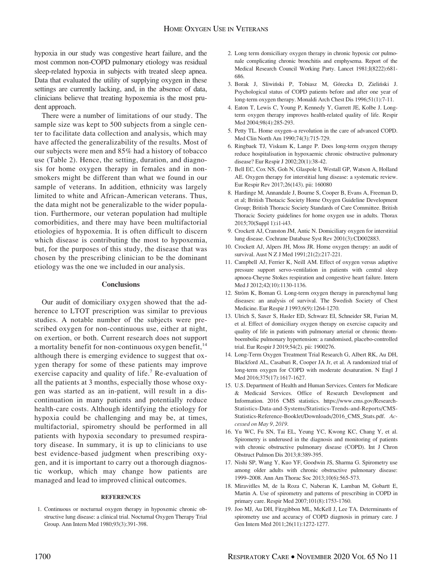hypoxia in our study was congestive heart failure, and the most common non-COPD pulmonary etiology was residual sleep-related hypoxia in subjects with treated sleep apnea. Data that evaluated the utility of supplying oxygen in these settings are currently lacking, and, in the absence of data, clinicians believe that treating hypoxemia is the most prudent approach.

There were a number of limitations of our study. The sample size was kept to 500 subjects from a single center to facilitate data collection and analysis, which may have affected the generalizability of the results. Most of our subjects were men and 85% had a history of tobacco use (Table 2). Hence, the setting, duration, and diagnosis for home oxygen therapy in females and in nonsmokers might be different than what we found in our sample of veterans. In addition, ethnicity was largely limited to white and African-American veterans. Thus, the data might not be generalizable to the wider population. Furthermore, our veteran population had multiple comorbidities, and there may have been multifactorial etiologies of hypoxemia. It is often difficult to discern which disease is contributing the most to hypoxemia, but, for the purposes of this study, the disease that was chosen by the prescribing clinician to be the dominant etiology was the one we included in our analysis.

#### **Conclusions**

Our audit of domiciliary oxygen showed that the adherence to LTOT prescription was similar to previous studies. A notable number of the subjects were prescribed oxygen for non-continuous use, either at night, on exertion, or both. Current research does not support a mortality benefit for non-continuous oxygen benefit,  $14$ although there is emerging evidence to suggest that oxygen therapy for some of these patients may improve exercise capacity and quality of life.<sup>7</sup> Re-evaluation of all the patients at 3 months, especially those whose oxygen was started as an in-patient, will result in a discontinuation in many patients and potentially reduce health-care costs. Although identifying the etiology for hypoxia could be challenging and may be, at times, multifactorial, spirometry should be performed in all patients with hypoxia secondary to presumed respiratory disease. In summary, it is up to clinicians to use best evidence-based judgment when prescribing oxygen, and it is important to carry out a thorough diagnostic workup, which may change how patients are managed and lead to improved clinical outcomes.

#### **REFERENCES**

1. Continuous or nocturnal oxygen therapy in hypoxemic chronic obstructive lung disease: a clinical trial. Nocturnal Oxygen Therapy Trial Group. Ann Intern Med 1980;93(3):391-398.

- 2. Long term domiciliary oxygen therapy in chronic hypoxic cor pulmonale complicating chronic bronchitis and emphysema. Report of the Medical Research Council Working Party. Lancet 1981;I(8222):681- 686.
- 3. Borak J, Sliwiński P, Tobiasz M, Górecka D, Zieliński J. Psychological status of COPD patients before and after one year of long-term oxygen therapy. Monaldi Arch Chest Dis 1996;51(1):7-11.
- 4. Eaton T, Lewis C, Young P, Kennedy Y, Garrett JE, Kolbe J. Longterm oxygen therapy improves health-related quality of life. Respir Med 2004;98(4):285-293.
- 5. Petty TL. Home oxygen–a revolution in the care of advanced COPD. Med Clin North Am 1990;74(3):715-729.
- 6. Ringbaek TJ, Viskum K, Lange P. Does long-term oxygen therapy reduce hospitalisation in hypoxaemic chronic obstructive pulmonary disease? Eur Respir J 2002;20(1):38-42.
- 7. Bell EC, Cox NS, Goh N, Glaspole I, Westall GP, Watson A, Holland AE. Oxygen therapy for interstitial lung disease: a systematic review. Eur Respir Rev 2017;26(143). pii: 160080
- 8. Hardinge M, Annandale J, Bourne S, Cooper B, Evans A, Freeman D, et al; British Thotacic Society Home Oxygen Guideline Development Group; British Thoracic Society Standards of Care Committee. British Thoracic Society guidelines for home oxygen use in adults. Thorax 2015;70(Suppl 1):i1-i43.
- 9. Crockett AJ, Cranston JM, Antic N. Domiciliary oxygen for interstitial lung disease. Cochrane Database Syst Rev 2001(3):CD002883.
- 10. Crockett AJ, Alpers JH, Moss JR. Home oxygen therapy: an audit of survival. Aust N Z J Med 1991;21(2):217-221.
- 11. Campbell AJ, Ferrier K, Neill AM. Effect of oxygen versus adaptive pressure support servo-ventilation in patients with central sleep apnoea-Cheyne Stokes respiration and congestive heart failure. Intern Med J 2012;42(10):1130-1136.
- 12. Ström K, Boman G. Long-term oxygen therapy in parenchymal lung diseases: an analysis of survival. The Swedish Society of Chest Medicine. Eur Respir J 1993;6(9):1264-1270.
- 13. Ulrich S, Saxer S, Hasler ED, Schwarz EI, Schneider SR, Furian M, et al. Effect of domiciliary oxygen therapy on exercise capacity and quality of life in patients with pulmonary arterial or chronic thromboembolic pulmonary hypertension: a randomised, placebo-controlled trial. Eur Respir J 2019;54(2). pii: 1900276.
- 14. Long-Term Oxygen Treatment Trial Research G, Albert RK, Au DH, Blackford AL, Casaburi R, Cooper JA Jr, et al. A randomized trial of long-term oxygen for COPD with moderate desaturation. N Engl J Med 2016;375(17):1617-1627.
- 15. U.S. Department of Health and Human Services. Centers for Medicare & Medicaid Services. Office of Research Development and Information. 2016 CMS statistics. [https://www.cms.gov/Research-](https://www.cms.gov/Research-Statistics-Data-and-Systems/Statistics-Trends-and-Reports/CMS-Statistics-Reference-Booklet/Downloads/2016_CMS_Stats.pdf)[Statistics-Data-and-Systems/Statistics-Trends-and-Reports/CMS-](https://www.cms.gov/Research-Statistics-Data-and-Systems/Statistics-Trends-and-Reports/CMS-Statistics-Reference-Booklet/Downloads/2016_CMS_Stats.pdf)Statistics-Reference-Booklet/Downloads/2016 CMS Stats.pdf. Accessed on May 9, 2019.
- 16. Yu WC, Fu SN, Tai EL, Yeung YC, Kwong KC, Chang Y, et al. Spirometry is underused in the diagnosis and monitoring of patients with chronic obstructive pulmonary disease (COPD). Int J Chron Obstruct Pulmon Dis 2013;8:389-395.
- 17. Nishi SP, Wang Y, Kuo YF, Goodwin JS, Sharma G. Spirometry use among older adults with chronic obstructive pulmonary disease: 1999–2008. Ann Am Thorac Soc 2013;10(6):565-573.
- 18. Miravitlles M, de la Roza C, Naberan K, Lamban M, Gobartt E, Martin A. Use of spirometry and patterns of prescribing in COPD in primary care. Respir Med 2007;101(8):1753-1760.
- 19. Joo MJ, Au DH, Fitzgibbon ML, McKell J, Lee TA. Determinants of spirometry use and accuracy of COPD diagnosis in primary care. J Gen Intern Med 2011;26(11):1272-1277.